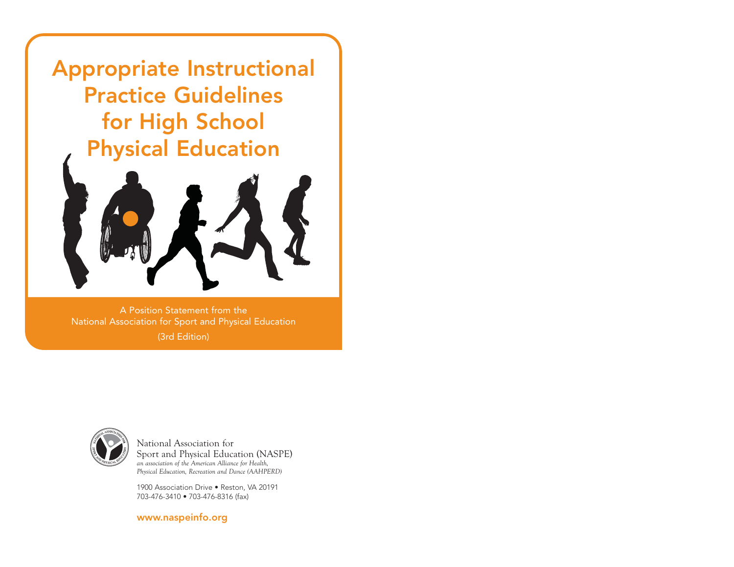Appropriate Instructional Practice Guidelines for High School Physical Education



A Position Statement from the National Association for Sport and Physical Education (3rd Edition)



National Association for Sport and Physical Education (NASPE) *an association of the American Alliance for Health, Physical Education, Recreation and Dance (AAHPERD)* 

1900 Association Drive • Reston, VA 20191 703-476-3410 • 703-476-8316 (fax)

www.naspeinfo.org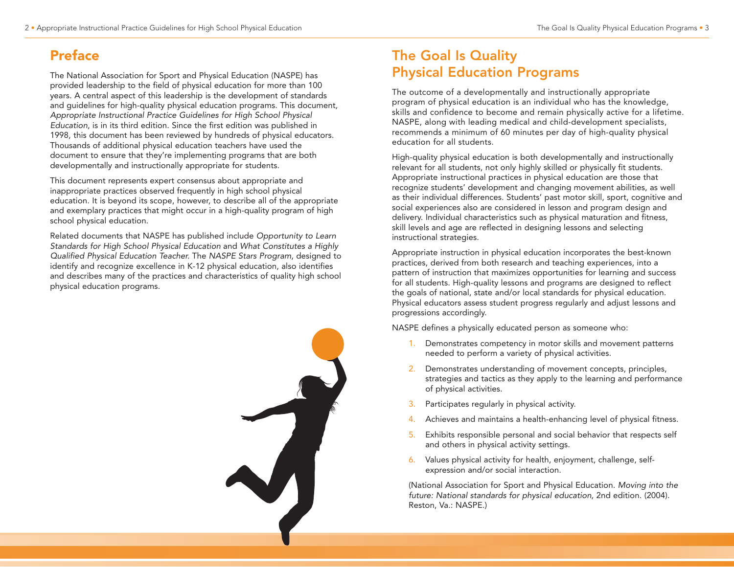## Preface

The National Association for Sport and Physical Education (NASPE) has provided leadership to the field of physical education for more than 100 years. A central aspect of this leadership is the development of standards and guidelines for high-quality physical education programs. This document, Appropriate Instructional Practice Guidelines for High School Physical Education, is in its third edition. Since the first edition was published in 1998, this document has been reviewed by hundreds of physical educators. Thousands of additional physical education teachers have used the document to ensure that they're implementing programs that are both developmentally and instructionally appropriate for students.

This document represents expert consensus about appropriate and inappropriate practices observed frequently in high school physical education. It is beyond its scope, however, to describe all of the appropriate and exemplary practices that might occur in a high-quality program of high school physical education.

Related documents that NASPE has published include Opportunity to Learn Standards for High School Physical Education and What Constitutes a Highly Qualified Physical Education Teacher. The NASPE Stars Program, designed to identify and recognize excellence in K-12 physical education, also identifies and describes many of the practices and characteristics of quality high school physical education programs.



## The Goal Is Quality Physical Education Programs

The outcome of a developmentally and instructionally appropriate program of physical education is an individual who has the knowledge, skills and confidence to become and remain physically active for a lifetime. NASPE, along with leading medical and child-development specialists, recommends a minimum of 60 minutes per day of high-quality physical education for all students.

High-quality physical education is both developmentally and instructionally relevant for all students, not only highly skilled or physically fit students. Appropriate instructional practices in physical education are those that recognize students' development and changing movement abilities, as well as their individual differences. Students' past motor skill, sport, cognitive and social experiences also are considered in lesson and program design and delivery. Individual characteristics such as physical maturation and fitness, skill levels and age are reflected in designing lessons and selecting instructional strategies.

Appropriate instruction in physical education incorporates the best-known practices, derived from both research and teaching experiences, into a pattern of instruction that maximizes opportunities for learning and success for all students. High-quality lessons and programs are designed to reflect the goals of national, state and/or local standards for physical education. Physical educators assess student progress regularly and adjust lessons and progressions accordingly.

NASPE defines a physically educated person as someone who:

- 1. Demonstrates competency in motor skills and movement patterns needed to perform a variety of physical activities.
- 2. Demonstrates understanding of movement concepts, principles, strategies and tactics as they apply to the learning and performance of physical activities.
- 3. Participates regularly in physical activity.
- 4. Achieves and maintains a health-enhancing level of physical fitness.
- 5. Exhibits responsible personal and social behavior that respects self and others in physical activity settings.
- 6. Values physical activity for health, enjoyment, challenge, selfexpression and/or social interaction.

(National Association for Sport and Physical Education. Moving into the future: National standards for physical education, 2nd edition. (2004). Reston, Va.: NASPE.)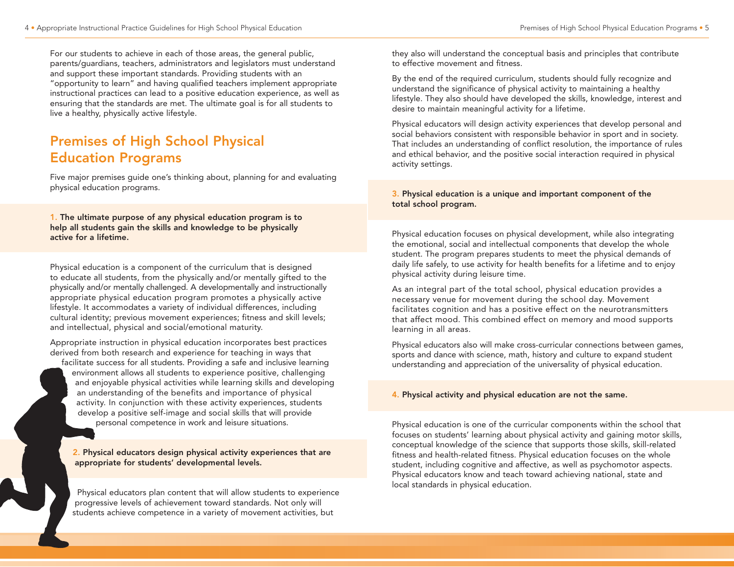For our students to achieve in each of those areas, the general public, parents/guardians, teachers, administrators and legislators must understand and support these important standards. Providing students with an "opportunity to learn" and having qualified teachers implement appropriate instructional practices can lead to a positive education experience, as well as ensuring that the standards are met. The ultimate goal is for all students to live a healthy, physically active lifestyle.

## Premises of High School Physical Education Programs

Five major premises guide one's thinking about, planning for and evaluating physical education programs.

1. The ultimate purpose of any physical education program is to help all students gain the skills and knowledge to be physically active for a lifetime.

Physical education is a component of the curriculum that is designed to educate all students, from the physically and/or mentally gifted to the physically and/or mentally challenged. A developmentally and instructionally appropriate physical education program promotes a physically active lifestyle. It accommodates a variety of individual differences, including cultural identity; previous movement experiences; fitness and skill levels; and intellectual, physical and social/emotional maturity.

Appropriate instruction in physical education incorporates best practices derived from both research and experience for teaching in ways that

facilitate success for all students. Providing a safe and inclusive learning environment allows all students to experience positive, challenging and enjoyable physical activities while learning skills and developing an understanding of the benefits and importance of physical activity. In conjunction with these activity experiences, students develop a positive self-image and social skills that will provide personal competence in work and leisure situations.

2. Physical educators design physical activity experiences that are appropriate for students' developmental levels.

Physical educators plan content that will allow students to experience progressive levels of achievement toward standards. Not only will students achieve competence in a variety of movement activities, but

they also will understand the conceptual basis and principles that contribute to effective movement and fitness.

By the end of the required curriculum, students should fully recognize and understand the significance of physical activity to maintaining a healthy lifestyle. They also should have developed the skills, knowledge, interest and desire to maintain meaningful activity for a lifetime.

Physical educators will design activity experiences that develop personal and social behaviors consistent with responsible behavior in sport and in society. That includes an understanding of conflict resolution, the importance of rules and ethical behavior, and the positive social interaction required in physical activity settings.

#### 3. Physical education is a unique and important component of the total school program.

Physical education focuses on physical development, while also integrating the emotional, social and intellectual components that develop the whole student. The program prepares students to meet the physical demands of daily life safely, to use activity for health benefits for a lifetime and to enjoy physical activity during leisure time.

As an integral part of the total school, physical education provides a necessary venue for movement during the school day. Movement facilitates cognition and has a positive effect on the neurotransmitters that affect mood. This combined effect on memory and mood supports learning in all areas.

Physical educators also will make cross-curricular connections between games, sports and dance with science, math, history and culture to expand student understanding and appreciation of the universality of physical education.

#### 4. Physical activity and physical education are not the same.

Physical education is one of the curricular components within the school that focuses on students' learning about physical activity and gaining motor skills, conceptual knowledge of the science that supports those skills, skill-related fitness and health-related fitness. Physical education focuses on the whole student, including cognitive and affective, as well as psychomotor aspects. Physical educators know and teach toward achieving national, state and local standards in physical education.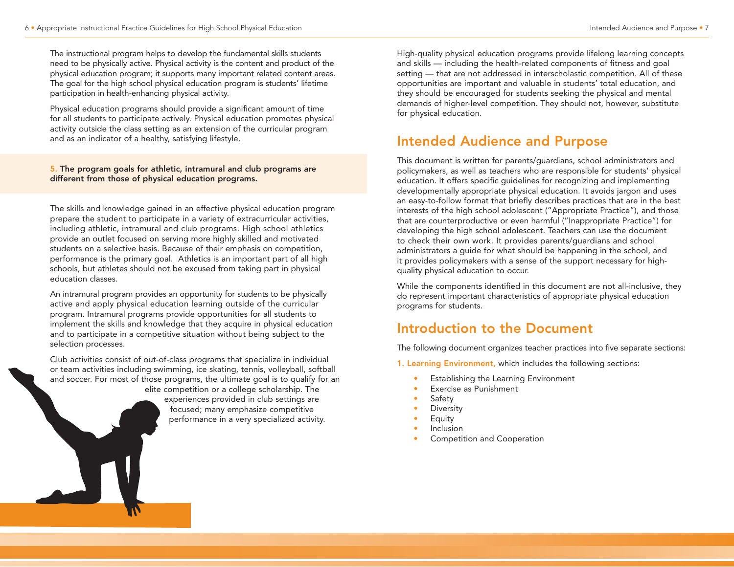The instructional program helps to develop the fundamental skills students need to be physically active. Physical activity is the content and product of the physical education program; it supports many important related content areas. The goal for the high school physical education program is students' lifetime participation in health-enhancing physical activity.

Physical education programs should provide a significant amount of time for all students to participate actively. Physical education promotes physical activity outside the class setting as an extension of the curricular program and as an indicator of a healthy, satisfying lifestyle.

5. The program goals for athletic, intramural and club programs are different from those of physical education programs.

The skills and knowledge gained in an effective physical education program prepare the student to participate in a variety of extracurricular activities, including athletic, intramural and club programs. High school athletics provide an outlet focused on serving more highly skilled and motivated students on a selective basis. Because of their emphasis on competition, performance is the primary goal. Athletics is an important part of all high schools, but athletes should not be excused from taking part in physical education classes.

An intramural program provides an opportunity for students to be physically active and apply physical education learning outside of the curricular program. Intramural programs provide opportunities for all students to implement the skills and knowledge that they acquire in physical education and to participate in a competitive situation without being subject to the selection processes.

Club activities consist of out-of-class programs that specialize in individual or team activities including swimming, ice skating, tennis, volleyball, softball and soccer. For most of those programs, the ultimate goal is to qualify for an

elite competition or a college scholarship. The experiences provided in club settings are focused; many emphasize competitive performance in a very specialized activity. High-quality physical education programs provide lifelong learning concepts and skills — including the health-related components of fitness and goal setting — that are not addressed in interscholastic competition. All of these opportunities are important and valuable in students' total education, and they should be encouraged for students seeking the physical and mental demands of higher-level competition. They should not, however, substitute for physical education.

## Intended Audience and Purpose

This document is written for parents/guardians, school administrators and policymakers, as well as teachers who are responsible for students' physical education. It offers specific guidelines for recognizing and implementing developmentally appropriate physical education. It avoids jargon and uses an easy-to-follow format that briefly describes practices that are in the best interests of the high school adolescent ("Appropriate Practice"), and those that are counterproductive or even harmful ("Inappropriate Practice") for developing the high school adolescent. Teachers can use the document to check their own work. It provides parents/guardians and school administrators a guide for what should be happening in the school, and it provides policymakers with a sense of the support necessary for highquality physical education to occur.

While the components identified in this document are not all-inclusive, they do represent important characteristics of appropriate physical education programs for students.

## Introduction to the Document

The following document organizes teacher practices into five separate sections:

1. Learning Environment, which includes the following sections:

- Establishing the Learning Environment
- Exercise as Punishment
- **Safety**
- **Diversity**
- **Equity**
- **Inclusion**
- Competition and Cooperation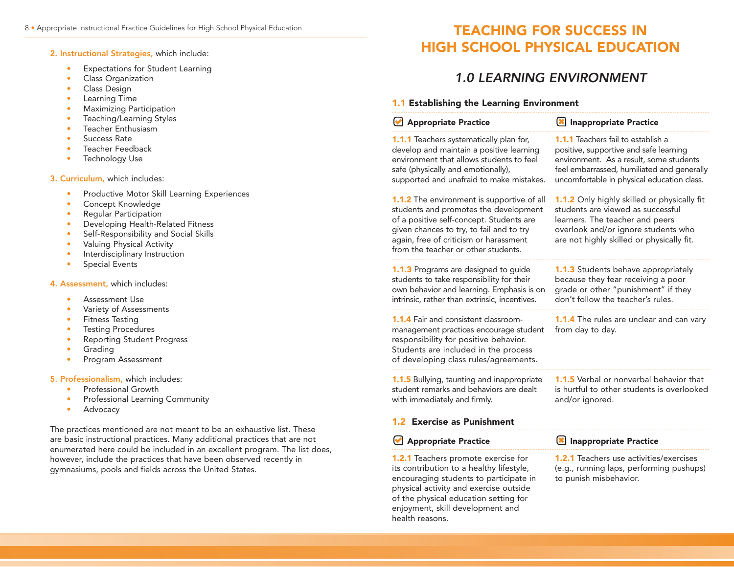2. Instructional Strategies, which include:

- **Expectations for Student Learning**
- Class Organization
- Class Design
- Learning Time
- Maximizing Participation
- Teaching/Learning Styles
- Teacher Enthusiasm
- Success Rate
- Teacher Feedback
- Technology Use

3. Curriculum, which includes:

- Productive Motor Skill Learning Experiences
- Concept Knowledge
- Regular Participation
- Developing Health-Related Fitness
- Self-Responsibility and Social Skills
- Valuing Physical Activity
- Interdisciplinary Instruction
- Special Events

4. Assessment, which includes:

- Assessment Use
- Variety of Assessments
- Fitness Testing
- Testing Procedures
- Reporting Student Progress
- Grading
- Program Assessment

#### 5. Professionalism, which includes:

- Professional Growth
- Professional Learning Community
- **Advocacy**

The practices mentioned are not meant to be an exhaustive list. These are basic instructional practices. Many additional practices that are not enumerated here could be included in an excellent program. The list does, however, include the practices that have been observed recently in gymnasiums, pools and fields across the United States.

## 8 • Appropriate Instructional Practice Guidelines for High School Physical Education TEACHING FOR SUCCESS IN HIGH SCHOOL PHYSICAL EDUCATION

## 1.0 LEARNING ENVIRONMENT

#### 1.1 Establishing the Learning Environment

health reasons.

| Appropriate Practice                                                                                                                                                                                                                                                | <b>X</b> Inappropriate Practice                                                                                                                                                                                            |
|---------------------------------------------------------------------------------------------------------------------------------------------------------------------------------------------------------------------------------------------------------------------|----------------------------------------------------------------------------------------------------------------------------------------------------------------------------------------------------------------------------|
| 1.1.1 Teachers systematically plan for,<br>develop and maintain a positive learning<br>environment that allows students to feel<br>safe (physically and emotionally),<br>supported and unafraid to make mistakes.                                                   | <b>1.1.1</b> Teachers fail to establish a<br>positive, supportive and safe learning<br>environment. As a result, some students<br>feel embarrassed, humiliated and generally<br>uncomfortable in physical education class. |
| <b>1.1.2</b> The environment is supportive of all<br>students and promotes the development<br>of a positive self-concept. Students are<br>given chances to try, to fail and to try<br>again, free of criticism or harassment<br>from the teacher or other students. | 1.1.2 Only highly skilled or physically fit<br>students are viewed as successful<br>learners. The teacher and peers<br>overlook and/or ignore students who<br>are not highly skilled or physically fit.                    |
| <b>1.1.3</b> Programs are designed to guide<br>students to take responsibility for their<br>own behavior and learning. Emphasis is on<br>intrinsic, rather than extrinsic, incentives.                                                                              | 1.1.3 Students behave appropriately<br>because they fear receiving a poor<br>grade or other "punishment" if they<br>don't follow the teacher's rules.                                                                      |
| <b>1.1.4</b> Fair and consistent classroom-<br>management practices encourage student<br>responsibility for positive behavior.<br>Students are included in the process<br>of developing class rules/agreements.                                                     | 1.1.4 The rules are unclear and can vary<br>from day to day.                                                                                                                                                               |
| 1.1.5 Bullying, taunting and inappropriate<br>student remarks and behaviors are dealt<br>with immediately and firmly.                                                                                                                                               | <b>1.1.5</b> Verbal or nonverbal behavior that<br>is hurtful to other students is overlooked<br>and/or ignored.                                                                                                            |
| 1.2 Exercise as Punishment                                                                                                                                                                                                                                          |                                                                                                                                                                                                                            |
| Appropriate Practice                                                                                                                                                                                                                                                | Inappropriate Practice                                                                                                                                                                                                     |
| <b>1.2.1</b> Teachers promote exercise for<br>its contribution to a healthy lifestyle,<br>encouraging students to participate in<br>physical activity and exercise outside<br>of the physical education setting for<br>enjoyment, skill development and             | <b>1.2.1</b> Teachers use activities/exercises<br>(e.g., running laps, performing pushups)<br>to punish misbehavior.                                                                                                       |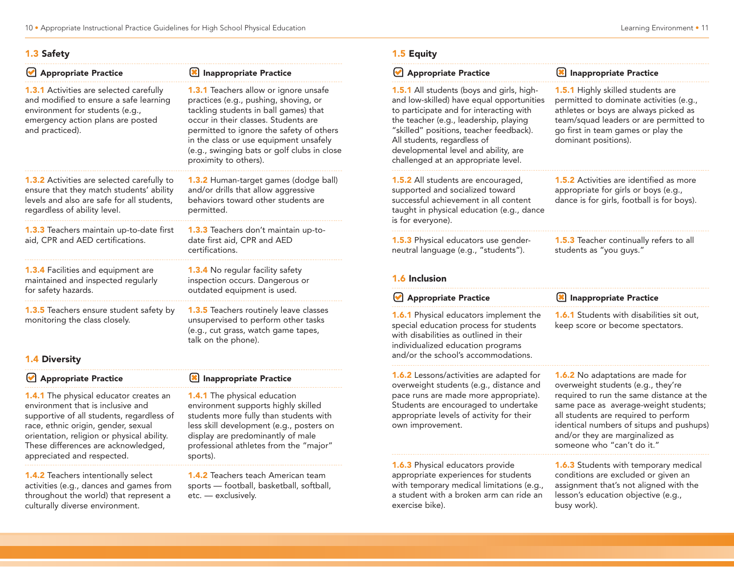#### 1.3 Safety

| <b>Appropriate Practice</b>                                                                                                                                                         | Inappropriate Practice                                                                                                                                                                                                                                                                                                               |
|-------------------------------------------------------------------------------------------------------------------------------------------------------------------------------------|--------------------------------------------------------------------------------------------------------------------------------------------------------------------------------------------------------------------------------------------------------------------------------------------------------------------------------------|
| <b>1.3.1</b> Activities are selected carefully<br>and modified to ensure a safe learning<br>environment for students (e.g.,<br>emergency action plans are posted<br>and practiced). | <b>1.3.1</b> Teachers allow or ignore unsafe<br>practices (e.g., pushing, shoving, or<br>tackling students in ball games) that<br>occur in their classes. Students are<br>permitted to ignore the safety of others<br>in the class or use equipment unsafely<br>(e.g., swinging bats or golf clubs in close<br>proximity to others). |
| <b>1.3.2</b> Activities are selected carefully to<br>ensure that they match students' ability<br>levels and also are safe for all students,<br>regardless of ability level.         | <b>1.3.2</b> Human-target games (dodge ball)<br>and/or drills that allow aggressive<br>behaviors toward other students are<br>permitted.                                                                                                                                                                                             |
| <b>1.3.3</b> Teachers maintain up-to-date first<br>aid, CPR and AED certifications.                                                                                                 | <b>1.3.3</b> Teachers don't maintain up-to-<br>date first aid, CPR and AED<br>certifications.                                                                                                                                                                                                                                        |
| 1.3.4 Facilities and equipment are<br>maintained and inspected regularly<br>for safety hazards.                                                                                     | <b>1.3.4</b> No regular facility safety<br>inspection occurs. Dangerous or<br>outdated equipment is used.                                                                                                                                                                                                                            |
| <b>1.3.5</b> Teachers ensure student safety by<br>monitoring the class closely.                                                                                                     | <b>1.3.5</b> Teachers routinely leave classes<br>unsupervised to perform other tasks<br>(e.g., cut grass, watch game tapes,<br>talk on the phone).                                                                                                                                                                                   |
| <b>1.4 Diversity</b>                                                                                                                                                                |                                                                                                                                                                                                                                                                                                                                      |
| <b>Appropriate Practice</b>                                                                                                                                                         | <b>Inappropriate Practice</b><br>I×                                                                                                                                                                                                                                                                                                  |

**1.4.1** The physical educator creates an environment that is inclusive and supportive of all students, regardless of race, ethnic origin, gender, sexual orientation, religion or physical ability. These differences are acknowledged, appreciated and respected.

1.4.2 Teachers intentionally select activities (e.g., dances and games from throughout the world) that represent a culturally diverse environment.

## 1.4.1 The physical education

environment supports highly skilled students more fully than students with less skill development (e.g., posters on display are predominantly of male professional athletes from the "major" sports).

1.4.2 Teachers teach American team sports — football, basketball, softball, etc. — exclusively.

#### 1.5 Equity

| Appropriate Practice                                                                                                                                                                                                                                                                                                                 | Inappropriate Practice                                                                                                                                                                                                                                                                                                   |
|--------------------------------------------------------------------------------------------------------------------------------------------------------------------------------------------------------------------------------------------------------------------------------------------------------------------------------------|--------------------------------------------------------------------------------------------------------------------------------------------------------------------------------------------------------------------------------------------------------------------------------------------------------------------------|
| 1.5.1 All students (boys and girls, high-<br>and low-skilled) have equal opportunities<br>to participate and for interacting with<br>the teacher (e.g., leadership, playing<br>"skilled" positions, teacher feedback).<br>All students, regardless of<br>developmental level and ability, are<br>challenged at an appropriate level. | 1.5.1 Highly skilled students are<br>permitted to dominate activities (e.g.,<br>athletes or boys are always picked as<br>team/squad leaders or are permitted to<br>go first in team games or play the<br>dominant positions).                                                                                            |
| 1.5.2 All students are encouraged,<br>supported and socialized toward<br>successful achievement in all content<br>taught in physical education (e.g., dance<br>is for everyone).                                                                                                                                                     | <b>1.5.2</b> Activities are identified as more<br>appropriate for girls or boys (e.g.,<br>dance is for girls, football is for boys).                                                                                                                                                                                     |
| 1.5.3 Physical educators use gender-<br>neutral language (e.g., "students").<br>1.6 Inclusion                                                                                                                                                                                                                                        | 1.5.3 Teacher continually refers to all<br>students as "you guys."                                                                                                                                                                                                                                                       |
| Appropriate Practice                                                                                                                                                                                                                                                                                                                 | Inappropriate Practice                                                                                                                                                                                                                                                                                                   |
| 1.6.1 Physical educators implement the<br>special education process for students<br>with disabilities as outlined in their<br>individualized education programs<br>and/or the school's accommodations.                                                                                                                               | 1.6.1 Students with disabilities sit out,<br>keep score or become spectators.                                                                                                                                                                                                                                            |
| <b>1.6.2</b> Lessons/activities are adapted for<br>overweight students (e.g., distance and<br>pace runs are made more appropriate).<br>Students are encouraged to undertake<br>appropriate levels of activity for their<br>own improvement.                                                                                          | <b>1.6.2</b> No adaptations are made for<br>overweight students (e.g., they're<br>required to run the same distance at the<br>same pace as average-weight students;<br>all students are required to perform<br>identical numbers of situps and pushups)<br>and/or they are marginalized as<br>someone who "can't do it." |
|                                                                                                                                                                                                                                                                                                                                      |                                                                                                                                                                                                                                                                                                                          |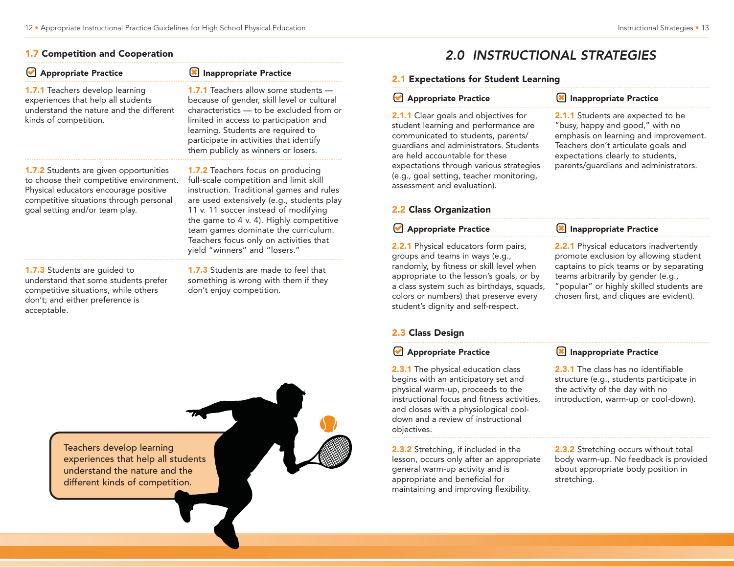|  | <b>1.7 Competition and Cooperation</b> |  |  |  |
|--|----------------------------------------|--|--|--|
|--|----------------------------------------|--|--|--|

| <b>Appropriate Practice</b>                                                                                                                                                                                     | <b>Inappropriate Practice</b>                                                                                                                                                                                                                                                                                                                                             |
|-----------------------------------------------------------------------------------------------------------------------------------------------------------------------------------------------------------------|---------------------------------------------------------------------------------------------------------------------------------------------------------------------------------------------------------------------------------------------------------------------------------------------------------------------------------------------------------------------------|
| <b>1.7.1</b> Teachers develop learning<br>experiences that help all students<br>understand the nature and the different<br>kinds of competition.                                                                | <b>1.7.1</b> Teachers allow some students -<br>because of gender, skill level or cultural<br>characteristics - to be excluded from or<br>limited in access to participation and<br>learning. Students are required to<br>participate in activities that identify<br>them publicly as winners or losers.                                                                   |
| <b>1.7.2</b> Students are given opportunities<br>to choose their competitive environment.<br>Physical educators encourage positive<br>competitive situations through personal<br>goal setting and/or team play. | 1.7.2 Teachers focus on producing<br>full-scale competition and limit skill<br>instruction. Traditional games and rules<br>are used extensively (e.g., students play<br>11 v. 11 soccer instead of modifying<br>the game to 4 v. 4). Highly competitive<br>team games dominate the curriculum.<br>Teachers focus only on activities that<br>yield "winners" and "losers." |
| <b>1.7.3</b> Students are guided to<br>understand that some students prefer<br>competitive situations, while others<br>don't; and either preference is<br>accentable                                            | 1.7.3 Students are made to feel that<br>something is wrong with them if they<br>don't enjoy competition.                                                                                                                                                                                                                                                                  |

# acceptable.



## 2.0 INSTRUCTIONAL STRATEGIES

#### 2.1 Expectations for Student Learning

#### **Appropriate Practice**

2.1.1 Clear goals and objectives for student learning and performance are communicated to students, parents/ guardians and administrators. Students are held accountable for these expectations through various strategies (e.g., goal setting, teacher monitoring, assessment and evaluation).

#### **X** Inappropriate Practice

2.1.1 Students are expected to be "busy, happy and good," with no emphasis on learning and improvement. Teachers don't articulate goals and expectations clearly to students, parents/guardians and administrators.

#### 2.2 Class Organization

#### **Appropriate Practice IM** Inappropriate Practice

2.2.1 Physical educators form pairs, groups and teams in ways (e.g., randomly, by fitness or skill level when appropriate to the lesson's goals, or by a class system such as birthdays, squads, colors or numbers) that preserve every student's dignity and self-respect.

**2.2.1** Physical educators inadvertently promote exclusion by allowing student captains to pick teams or by separating teams arbitrarily by gender (e.g., "popular" or highly skilled students are chosen first, and cliques are evident).

#### 2.3 Class Design

| Appropriate Practice                                                                                                                                                                                                                                               | Inappropriate Practice                                                                                                                                            |
|--------------------------------------------------------------------------------------------------------------------------------------------------------------------------------------------------------------------------------------------------------------------|-------------------------------------------------------------------------------------------------------------------------------------------------------------------|
| <b>2.3.1</b> The physical education class<br>begins with an anticipatory set and<br>physical warm-up, proceeds to the<br>instructional focus and fitness activities,<br>and closes with a physiological cool-<br>down and a review of instructional<br>objectives. | <b>2.3.1</b> The class has no identifiable<br>structure (e.g., students participate in<br>the activity of the day with no<br>introduction, warm-up or cool-down). |
| <b>2.3.2</b> Stretching, if included in the                                                                                                                                                                                                                        | 2.3.2 Stretching occurs without total                                                                                                                             |

lesson, occurs only after an appropriate general warm-up activity and is appropriate and beneficial for maintaining and improving flexibility.

body warm-up. No feedback is provided about appropriate body position in stretching.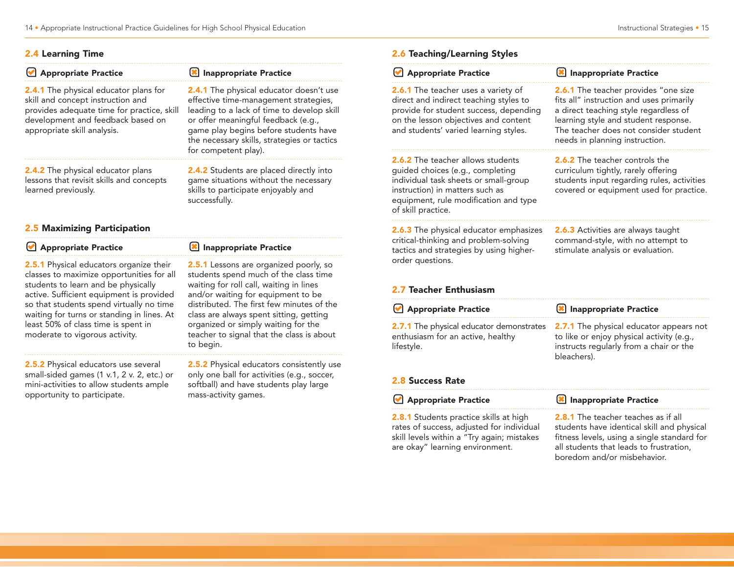#### 2.4 Learning Time

| <b>Appropriate Practice</b>                                                                                                                                                                                                                                                                              | <b>Inappropriate Practice</b>                                                                                                                                                                                                                                                                          |  |
|----------------------------------------------------------------------------------------------------------------------------------------------------------------------------------------------------------------------------------------------------------------------------------------------------------|--------------------------------------------------------------------------------------------------------------------------------------------------------------------------------------------------------------------------------------------------------------------------------------------------------|--|
| <b>2.4.1</b> The physical educator plans for<br>skill and concept instruction and<br>provides adequate time for practice, skill<br>development and feedback based on<br>appropriate skill analysis.                                                                                                      | <b>2.4.1</b> The physical educator doesn't use<br>effective time-management strategies,<br>leading to a lack of time to develop skill<br>or offer meaningful feedback (e.g.,<br>game play begins before students have<br>the necessary skills, strategies or tactics<br>for competent play).           |  |
| 2.4.2 The physical educator plans<br>lessons that revisit skills and concepts<br>learned previously.                                                                                                                                                                                                     | 2.4.2 Students are placed directly into<br>game situations without the necessary<br>skills to participate enjoyably and<br>successfully.                                                                                                                                                               |  |
| 2.5 Maximizing Participation                                                                                                                                                                                                                                                                             |                                                                                                                                                                                                                                                                                                        |  |
| Appropriate Practice                                                                                                                                                                                                                                                                                     | Inappropriate Practice                                                                                                                                                                                                                                                                                 |  |
| 2.5.1 Physical educators organize their<br>classes to maximize opportunities for all<br>students to learn and be physically<br>active. Sufficient equipment is provided<br>so that students spend virtually no time<br>waiting for turns or standing in lines. At<br>least 50% of class time is spent in | <b>2.5.1</b> Lessons are organized poorly, so<br>students spend much of the class time<br>waiting for roll call, waiting in lines<br>and/or waiting for equipment to be<br>distributed. The first few minutes of the<br>class are always spent sitting, getting<br>organized or simply waiting for the |  |

2.5.2 Physical educators use several small-sided games (1 v.1, 2 v. 2, etc.) or mini-activities to allow students ample opportunity to participate.

moderate to vigorous activity.

organized or simply waiting for the teacher to signal that the class is about to begin.

2.5.2 Physical educators consistently use only one ball for activities (e.g., soccer, softball) and have students play large mass-activity games.

### 2.6 Teaching/Learning Styles

| Appropriate Practice                                                                                                                                                                                             | Inappropriate Practice                                                                                                                                                                                                                       |
|------------------------------------------------------------------------------------------------------------------------------------------------------------------------------------------------------------------|----------------------------------------------------------------------------------------------------------------------------------------------------------------------------------------------------------------------------------------------|
| 2.6.1 The teacher uses a variety of<br>direct and indirect teaching styles to<br>provide for student success, depending<br>on the lesson objectives and content<br>and students' varied learning styles.         | 2.6.1 The teacher provides "one size<br>fits all" instruction and uses primarily<br>a direct teaching style regardless of<br>learning style and student response.<br>The teacher does not consider student<br>needs in planning instruction. |
| 2.6.2 The teacher allows students<br>guided choices (e.g., completing<br>individual task sheets or small-group<br>instruction) in matters such as<br>equipment, rule modification and type<br>of skill practice. | 2.6.2 The teacher controls the<br>curriculum tightly, rarely offering<br>students input regarding rules, activities<br>covered or equipment used for practice.                                                                               |
| 2.6.3 The physical educator emphasizes<br>critical-thinking and problem-solving<br>tactics and strategies by using higher-<br>order questions.                                                                   | 2.6.3 Activities are always taught<br>command-style, with no attempt to<br>stimulate analysis or evaluation.                                                                                                                                 |
| 2.7 Teacher Enthusiasm                                                                                                                                                                                           |                                                                                                                                                                                                                                              |
| Appropriate Practice                                                                                                                                                                                             | <b>X</b> Inappropriate Practice                                                                                                                                                                                                              |
| 2.7.1 The physical educator demonstrates<br>enthusiasm for an active, healthy<br>lifestyle.                                                                                                                      | 2.7.1 The physical educator appears not<br>to like or enjoy physical activity (e.g.,<br>instructs regularly from a chair or the<br>bleachers).                                                                                               |
| <b>2.8 Success Rate</b>                                                                                                                                                                                          |                                                                                                                                                                                                                                              |
| Appropriate Practice                                                                                                                                                                                             | Inappropriate Practice                                                                                                                                                                                                                       |
| 2.8.1 Students practice skills at high<br>rates of success, adjusted for individual<br>skill levels within a "Try again; mistakes<br>are okay" learning environment.                                             | <b>2.8.1</b> The teacher teaches as if all<br>students have identical skill and physical<br>fitness levels, using a single standard for<br>all students that leads to frustration,<br>boredom and/or misbehavior.                            |

⋍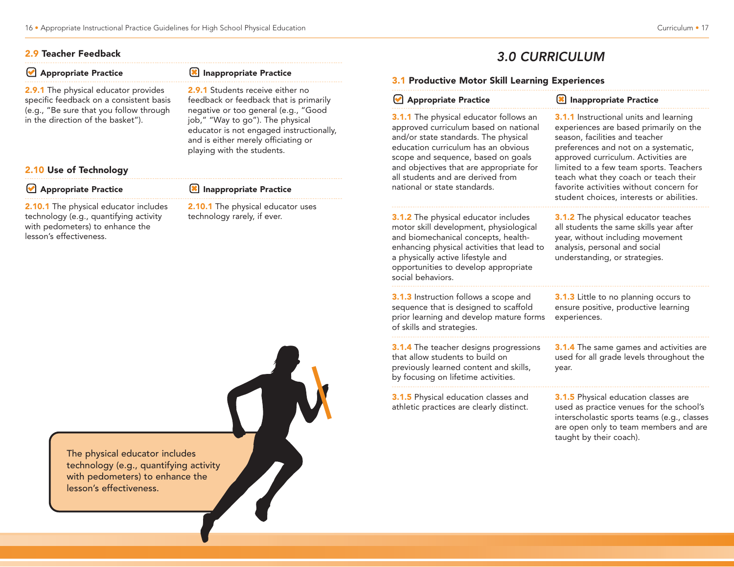#### 2.9 Teacher Feedback

| <b>X</b> Inappropriate Practice                                                                                                                   | 3.1P                                      |
|---------------------------------------------------------------------------------------------------------------------------------------------------|-------------------------------------------|
| 2.9.1 Students receive either no<br>feedback or feedback that is primarily                                                                        | V A                                       |
| job," "Way to go"). The physical<br>educator is not engaged instructionally,<br>and is either merely officiating or<br>playing with the students. | 3.1.1<br>appro<br>and/o<br>educa<br>scope |
|                                                                                                                                                   | and o<br>all stu                          |
| Inappropriate Practice                                                                                                                            | nation                                    |
|                                                                                                                                                   | negative or too general (e.g., "Good      |

**2.10.1** The physical educator includes technology (e.g., quantifying activity with pedometers) to enhance the lesson's effectiveness.

2.10.1 The physical educator uses technology rarely, if ever.

## 3.0 CURRICULUM

#### **Productive Motor Skill Learning Experiences**

|  |  |  |  | Appropriate Practice |  |
|--|--|--|--|----------------------|--|
|--|--|--|--|----------------------|--|

The physical educator follows an wed curriculum based on national and state standards. The physical ation curriculum has an obvious and sequence, based on goals bjectives that are appropriate for dents and are derived from al or state standards.

**3.1.2** The physical educator includes motor skill development, physiological and biomechanical concepts, healthenhancing physical activities that lead to a physically active lifestyle and opportunities to develop appropriate social behaviors.

3.1.3 Instruction follows a scope and sequence that is designed to scaffold prior learning and develop mature forms of skills and strategies.

3.1.4 The teacher designs progressions that allow students to build on previously learned content and skills, by focusing on lifetime activities.

3.1.5 Physical education classes and athletic practices are clearly distinct.

**3.1.1** Instructional units and learning experiences are based primarily on the season, facilities and teacher preferences and not on a systematic, approved curriculum. Activities are limited to a few team sports. Teachers teach what they coach or teach their favorite activities without concern for student choices, interests or abilities.

**IM** Inappropriate Practice

**3.1.2** The physical educator teaches all students the same skills year after year, without including movement analysis, personal and social understanding, or strategies.

3.1.3 Little to no planning occurs to ensure positive, productive learning experiences.

**3.1.4** The same games and activities are used for all grade levels throughout the year.

**3.1.5** Physical education classes are used as practice venues for the school's interscholastic sports teams (e.g., classes are open only to team members and are taught by their coach).

The physical educator includes The physical educator includes<br>technology (e.g., quantifying activity with pedometers) to enhance the lesson's effectiveness.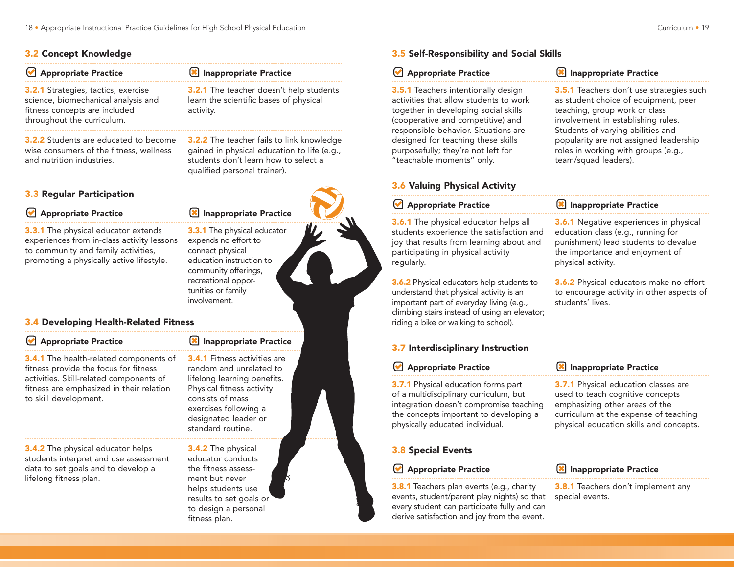#### 3.2 Concept Knowledge

3.2.1 Strategies, tactics, exercise science, biomechanical analysis and fitness concepts are included throughout the curriculum.

3.2.2 Students are educated to become wise consumers of the fitness, wellness and nutrition industries.

#### 3.3 Regular Participation

#### **Appropriate Practice**

**3.3.1** The physical educator extends experiences from in-class activity lessons to community and family activities, promoting a physically active lifestyle.

**3.3.1** The physical educator expends no effort to connect physical

**X** Inappropriate Practice

qualified personal trainer).

activity.

**3.2.1** The teacher doesn't help students learn the scientific bases of physical

3.2.2 The teacher fails to link knowledge gained in physical education to life (e.g., students don't learn how to select a

education instruction to community offerings, recreational opportunities or family involvement.

#### 3.4 Developing Health-Related Fitness

#### Appropriate Practice

3.4.1 The health-related components of fitness provide the focus for fitness activities. Skill-related components of fitness are emphasized in their relation to skill development.

3.4.2 The physical educator helps students interpret and use assessment data to set goals and to develop a lifelong fitness plan.

3.4.1 Fitness activities are random and unrelated to lifelong learning benefits. Physical fitness activity consists of mass exercises following a designated leader or standard routine.

**IM** Inappropriate Practice

3.4.2 The physical educator conducts the fitness assessment but never helps students use results to set goals or to design a personal fitness plan.

#### 3.5 Self-Responsibility and Social Skills

#### **Appropriate Practice**

3.5.1 Teachers intentionally design activities that allow students to work together in developing social skills (cooperative and competitive) and responsible behavior. Situations are designed for teaching these skills purposefully; they're not left for "teachable moments" only.

**X** Inappropriate Practice

**3.5.1** Teachers don't use strategies such as student choice of equipment, peer teaching, group work or class involvement in establishing rules. Students of varying abilities and popularity are not assigned leadership roles in working with groups (e.g., team/squad leaders).

education class (e.g., running for punishment) lead students to devalue the importance and enjoyment of

physical activity.

students' lives.

#### 3.6 Valuing Physical Activity

#### **Appropriate Practice X** Inappropriate Practice **3.6.1** Negative experiences in physical

3.6.1 The physical educator helps all students experience the satisfaction and joy that results from learning about and participating in physical activity regularly.

3.6.2 Physical educators help students to understand that physical activity is an important part of everyday living (e.g., climbing stairs instead of using an elevator; riding a bike or walking to school).

3.7 Interdisciplinary Instruction

| Appropriate Practice                       | Inappropriate Practice                      |
|--------------------------------------------|---------------------------------------------|
| <b>3.7.1</b> Physical education forms part | <b>3.7.1</b> Physical education classes are |
| of a multidisciplinary curriculum, but     | used to teach cognitive concepts            |
| integration doesn't compromise teaching    | emphasizing other areas of the              |
| the concepts important to developing a     | curriculum at the expense of teaching       |
| physically educated individual.            | physical education skills and concepts.     |

#### 3.8 Special Events

#### **Appropriate Practice**

3.8.1 Teachers plan events (e.g., charity events, student/parent play nights) so that every student can participate fully and can derive satisfaction and joy from the event.

**X** Inappropriate Practice

**3.8.1** Teachers don't implement any special events.

**3.6.2** Physical educators make no effort to encourage activity in other aspects of

**X** Inappropriate Practice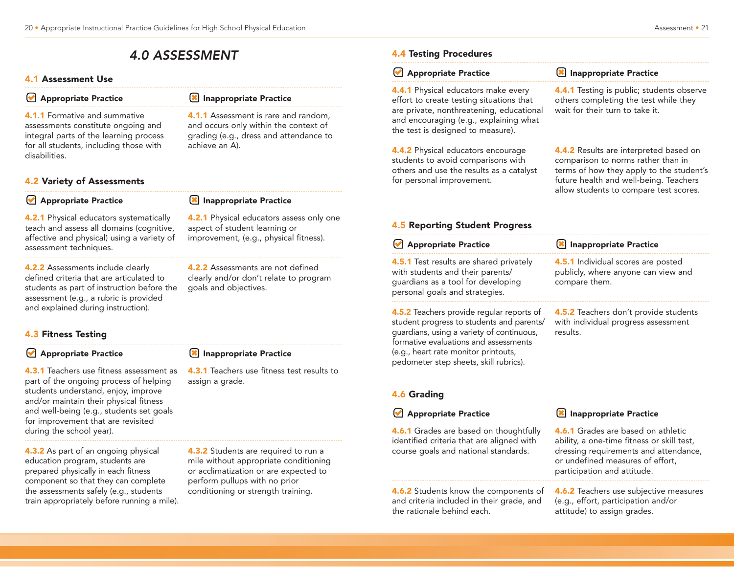## 4.0 ASSESSMENT

#### 4.1 Assessment Use

4.1.1 Formative and summative assessments constitute ongoing and integral parts of the learning process for all students, including those with disabilities.

#### 4.2 Variety of Assessments

| Appropriate Practice                                                                                                                                               | Inappropriate Practice                                                                                                     |
|--------------------------------------------------------------------------------------------------------------------------------------------------------------------|----------------------------------------------------------------------------------------------------------------------------|
| <b>4.2.1</b> Physical educators systematically<br>teach and assess all domains (cognitive,<br>affective and physical) using a variety of<br>assessment techniques. | <b>4.2.1</b> Physical educators assess only one<br>aspect of student learning or<br>improvement, (e.g., physical fitness). |

4.2.2 Assessments include clearly defined criteria that are articulated to students as part of instruction before the assessment (e.g., a rubric is provided and explained during instruction).

#### 4.3 Fitness Testing

#### **Appropriate Practice**

4.3.1 Teachers use fitness assessment as part of the ongoing process of helping students understand, enjoy, improve and/or maintain their physical fitness and well-being (e.g., students set goals for improvement that are revisited during the school year).

4.3.2 As part of an ongoing physical education program, students are prepared physically in each fitness component so that they can complete the assessments safely (e.g., students train appropriately before running a mile).

#### **X** Inappropriate Practice

goals and objectives.

4.2.2 Assessments are not defined clearly and/or don't relate to program

**IM** Inappropriate Practice

achieve an A).

4.1.1 Assessment is rare and random, and occurs only within the context of grading (e.g., dress and attendance to

4.3.1 Teachers use fitness test results to assign a grade.

**4.3.2** Students are required to run a mile without appropriate conditioning or acclimatization or are expected to perform pullups with no prior conditioning or strength training.

#### 4.4 Testing Procedures

| Appropriate Practice                                                                                                                                                                                                                                           | Inappropriate Practice                                                                                                                                                                                       |  |
|----------------------------------------------------------------------------------------------------------------------------------------------------------------------------------------------------------------------------------------------------------------|--------------------------------------------------------------------------------------------------------------------------------------------------------------------------------------------------------------|--|
| 4.4.1 Physical educators make every<br>effort to create testing situations that<br>are private, nonthreatening, educational<br>and encouraging (e.g., explaining what<br>the test is designed to measure).                                                     | 4.4.1 Testing is public; students observe<br>others completing the test while they<br>wait for their turn to take it.                                                                                        |  |
| 4.4.2 Physical educators encourage<br>students to avoid comparisons with<br>others and use the results as a catalyst<br>for personal improvement.                                                                                                              | 4.4.2 Results are interpreted based on<br>comparison to norms rather than in<br>terms of how they apply to the student's<br>future health and well-being. Teachers<br>allow students to compare test scores. |  |
| <b>4.5 Reporting Student Progress</b>                                                                                                                                                                                                                          |                                                                                                                                                                                                              |  |
| Appropriate Practice                                                                                                                                                                                                                                           | <b>X</b> Inappropriate Practice                                                                                                                                                                              |  |
| 4.5.1 Test results are shared privately<br>with students and their parents/<br>guardians as a tool for developing<br>personal goals and strategies.                                                                                                            | 4.5.1 Individual scores are posted<br>publicly, where anyone can view and<br>compare them.                                                                                                                   |  |
| 4.5.2 Teachers provide regular reports of<br>student progress to students and parents/<br>guardians, using a variety of continuous,<br>formative evaluations and assessments<br>(e.g., heart rate monitor printouts,<br>pedometer step sheets, skill rubrics). | 4.5.2 Teachers don't provide students<br>with individual progress assessment<br>results.                                                                                                                     |  |
| <b>4.6 Grading</b><br>Appropriate Practice                                                                                                                                                                                                                     | Inappropriate Practice                                                                                                                                                                                       |  |
|                                                                                                                                                                                                                                                                |                                                                                                                                                                                                              |  |
| 4.6.1 Grades are based on thoughtfully<br>identified criteria that are aligned with<br>course goals and national standards.                                                                                                                                    | 4.6.1 Grades are based on athletic<br>ability, a one-time fitness or skill test,<br>dressing requirements and attendance,<br>or undefined measures of effort,<br>participation and attitude.                 |  |
|                                                                                                                                                                                                                                                                | 4.6.2 Teachers use subjective measures<br>(e.g., effort, participation and/or<br>attitude) to assign grades.                                                                                                 |  |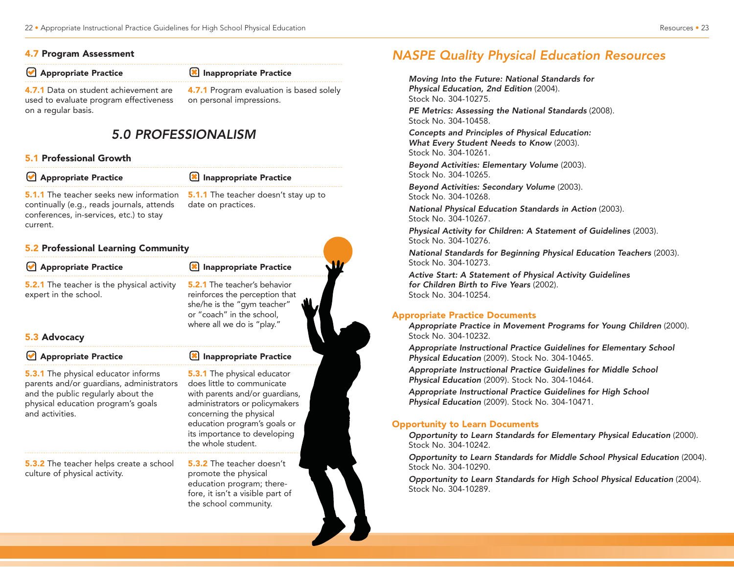#### 4.7 Program Assessment

**Appropriate Practice** 

#### **X** Inappropriate Practice

4.7.1 Data on student achievement are used to evaluate program effectiveness on a regular basis.

4.7.1 Program evaluation is based solely on personal impressions.

## 5.0 PROFESSIONALISM

#### 5.1 Professional Growth

**Appropriate Practice** 

#### **X** Inappropriate Practice

fore, it isn't a visible part of the school community.

**5.1.1** The teacher seeks new information continually (e.g., reads journals, attends conferences, in-services, etc.) to stay current.

**5.1.1** The teacher doesn't stay up to date on practices.

#### 5.2 Professional Learning Community

| Appropriate Practice                                                                                                                                                                  | Inappropriate Practice                                                                                                                                                                                                                                |  |
|---------------------------------------------------------------------------------------------------------------------------------------------------------------------------------------|-------------------------------------------------------------------------------------------------------------------------------------------------------------------------------------------------------------------------------------------------------|--|
| <b>5.2.1</b> The teacher is the physical activity<br>expert in the school.                                                                                                            | <b>5.2.1</b> The teacher's behavior<br>reinforces the perception that<br>she/he is the "gym teacher"<br>or "coach" in the school,<br>where all we do is "play."                                                                                       |  |
| 5.3 Advocacy                                                                                                                                                                          |                                                                                                                                                                                                                                                       |  |
| Appropriate Practice                                                                                                                                                                  | Inappropriate Practice                                                                                                                                                                                                                                |  |
| <b>5.3.1</b> The physical educator informs<br>parents and/or guardians, administrators<br>and the public regularly about the<br>physical education program's goals<br>and activities. | <b>5.3.1</b> The physical educator<br>does little to communicate<br>with parents and/or guardians,<br>administrators or policymakers<br>concerning the physical<br>education program's goals or<br>its importance to developing<br>the whole student. |  |
| <b>5.3.2</b> The teacher helps create a school<br>culture of physical activity.                                                                                                       | <b>5.3.2</b> The teacher doesn't<br>promote the physical<br>education program; there-                                                                                                                                                                 |  |

## NASPE Quality Physical Education Resources

Moving Into the Future: National Standards for Physical Education, 2nd Edition (2004). Stock No. 304-10275.

PE Metrics: Assessing the National Standards (2008). Stock No. 304-10458.

Concepts and Principles of Physical Education: What Every Student Needs to Know (2003). Stock No. 304-10261.

Beyond Activities: Elementary Volume (2003). Stock No. 304-10265.

Beyond Activities: Secondary Volume (2003). Stock No. 304-10268.

National Physical Education Standards in Action (2003). Stock No. 304-10267.

Physical Activity for Children: A Statement of Guidelines (2003). Stock No. 304-10276.

National Standards for Beginning Physical Education Teachers (2003). Stock No. 304-10273.

Active Start: A Statement of Physical Activity Guidelines for Children Birth to Five Years (2002). Stock No. 304-10254.

#### Appropriate Practice Documents

Appropriate Practice in Movement Programs for Young Children (2000). Stock No. 304-10232.

Appropriate Instructional Practice Guidelines for Elementary School Physical Education (2009). Stock No. 304-10465.

Appropriate Instructional Practice Guidelines for Middle School Physical Education (2009). Stock No. 304-10464.

Appropriate Instructional Practice Guidelines for High School Physical Education (2009). Stock No. 304-10471.

#### Opportunity to Learn Documents

Opportunity to Learn Standards for Elementary Physical Education (2000). Stock No. 304-10242.

Opportunity to Learn Standards for Middle School Physical Education (2004). Stock No. 304-10290.

Opportunity to Learn Standards for High School Physical Education (2004). Stock No. 304-10289.